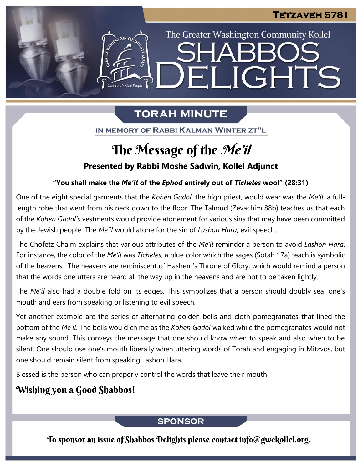The Greater Washington Community Kollel

ELIGHTS

# **TORAH MINUTE**

IN MEMORY OF RABBI KALMAN WINTER ZT"L

# The Message of the *Me'il*

### **Presented by Rabbi Moshe Sadwin, Kollel Adjunct**

### **"You shall make the** *Me'il* **of the** *Ephod* **entirely out of** *Ticheles* **wool" (28:31)**

One of the eight special garments that the *Kohen Gadol*, the high priest, would wear was the *Me'il*, a fulllength robe that went from his neck down to the floor. The Talmud (Zevachim 88b) teaches us that each of the *Kohen Gadol's* vestments would provide atonement for various sins that may have been committed by the Jewish people. The *Me'il* would atone for the sin of *Lashon Hara*, evil speech.

The Chofetz Chaim explains that various attributes of the *Me'il* reminder a person to avoid *Lashon Hara*. For instance, the color of the *Me'il* was *Ticheles*, a blue color which the sages (Sotah 17a) teach is symbolic of the heavens. The heavens are reminiscent of Hashem's Throne of Glory, which would remind a person that the words one utters are heard all the way up in the heavens and are not to be taken lightly.

The *Me'il* also had a double fold on its edges. This symbolizes that a person should doubly seal one's mouth and ears from speaking or listening to evil speech.

Yet another example are the series of alternating golden bells and cloth pomegranates that lined the bottom of the *Me'il*. The bells would chime as the *Kohen Gadol* walked while the pomegranates would not make any sound. This conveys the message that one should know when to speak and also when to be silent. One should use one's mouth liberally when uttering words of Torah and engaging in Mitzvos, but one should remain silent from speaking Lashon Hara.

Blessed is the person who can properly control the words that leave their mouth!

## Wishing you a Good Shabbos!

### **SPONSOR**

To sponsor an issue of Shabbos Delights please contact info@gwckollel.org.